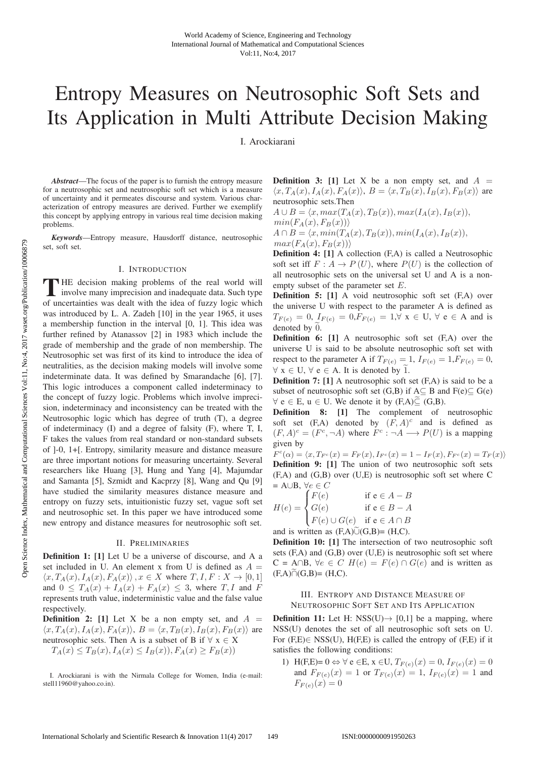# Entropy Measures on Neutrosophic Soft Sets and Its Application in Multi Attribute Decision Making

I. Arockiarani

*Abstract*—The focus of the paper is to furnish the entropy measure for a neutrosophic set and neutrosophic soft set which is a measure of uncertainty and it permeates discourse and system. Various characterization of entropy measures are derived. Further we exemplify this concept by applying entropy in various real time decision making problems.

*Keywords*—Entropy measure, Hausdorff distance, neutrosophic set, soft set.

#### I. INTRODUCTION

THE decision making problems of the real world will<br>involve many imprecision and inadequate data. Such type<br>of uncertainties wes dealt with the idea of fuzzy logic which of uncertainties was dealt with the idea of fuzzy logic which was introduced by L. A. Zadeh [10] in the year 1965, it uses a membership function in the interval [0, 1]. This idea was further refined by Atanassov [2] in 1983 which include the grade of membership and the grade of non membership. The Neutrosophic set was first of its kind to introduce the idea of neutralities, as the decision making models will involve some indeterminate data. It was defined by Smarandache [6], [7]. This logic introduces a component called indeterminacy to the concept of fuzzy logic. Problems which involve imprecision, indeterminacy and inconsistency can be treated with the Neutrosophic logic which has degree of truth (T), a degree of indeterminacy (I) and a degree of falsity (F), where T, I, F takes the values from real standard or non-standard subsets of ]-0, 1+[. Entropy, similarity measure and distance measure are three important notions for measuring uncertainty. Several researchers like Huang [3], Hung and Yang [4], Majumdar and Samanta [5], Szmidt and Kacprzy [8], Wang and Qu [9] have studied the similarity measures distance measure and entropy on fuzzy sets, intuitionistic fuzzy set, vague soft set and neutrosophic set. In this paper we have introduced some new entropy and distance measures for neutrosophic soft set.

#### II. PRELIMINARIES

Definition 1: [1] Let U be a universe of discourse, and A a set included in U. An element x from U is defined as  $A =$  $\langle x, T_A(x), I_A(x), F_A(x) \rangle$ ,  $x \in X$  where  $T, I, F: X \to [0, 1]$ and  $0 \leq T_A(x) + I_A(x) + F_A(x) \leq 3$ , where  $T, I$  and F represents truth value, indeterministic value and the false value respectively.

**Definition 2:** [1] Let X be a non empty set, and  $A =$  $\langle x, T_A(x), I_A(x), F_A(x) \rangle$ ,  $B = \langle x, T_B(x), I_B(x), F_B(x) \rangle$  are neutrosophic sets. Then A is a subset of B if  $\forall x \in X$  $T_A(x) \leq T_B(x), I_A(x) \leq I_B(x), F_A(x) \geq F_B(x)$ 

**Definition 3:** [1] Let X be a non empty set, and  $A =$  $\langle x, T_A(x), I_A(x), F_A(x) \rangle$ ,  $B = \langle x, T_B(x), I_B(x), F_B(x) \rangle$  are neutrosophic sets.Then

$$
A \cup B = \langle x, max(T_A(x), T_B(x)), max(I_A(x), I_B(x)),
$$
  
\n
$$
min(F_A(x), F_B(x)) \rangle
$$
  
\n
$$
A \cap B = \langle x, min(T_A(x), T_B(x)), min(I_A(x), I_B(x)),
$$
  
\n
$$
max(F_A(x), F_B(x)) \rangle
$$

Definition 4: [1] A collection (F,A) is called a Neutrosophic soft set iff  $F: A \to P(U)$ , where  $P(U)$  is the collection of all neutrosophic sets on the universal set U and A is a nonempty subset of the parameter set E.

Definition 5: [1] A void neutrosophic soft set (F,A) over the universe U with respect to the parameter A is defined as  $T_{F(e)} = 0$ ,  $I_{F(e)} = 0$ ,  $F_{F(e)} = 1$ ,  $\forall$  x  $\in$  U,  $\forall$  e  $\in$  A and is denoted by 0.

Definition 6: [1] A neutrosophic soft set (F,A) over the universe U is said to be absolute neutrosophic soft set with respect to the parameter A if  $T_{F(e)} = 1$ ,  $I_{F(e)} = 1$ ,  $F_{F(e)} = 0$ ,  $\forall x \in U, \forall e \in A$ . It is denoted by 1.

Definition 7: [1] A neutrosophic soft set (F,A) is said to be a subset of neutrosophic soft set  $(G,B)$  if  $A \subseteq B$  and  $F(e) \subseteq G(e)$  $\forall e \in E, u \in U$ . We denote it by  $(F,A) \subseteq (G,B)$ .

Definition 8: [1] The complement of neutrosophic soft set  $(F,A)$  denoted by  $(F, A)^c$  and is defined as  $(F, A)^c = (F^c, \neg A)$  where  $F^c : \neg A \longrightarrow P(U)$  is a mapping given by

 $F^{c}(\alpha) = \langle x, T_{F^{c}}(x) = F_{F}(x), I_{F^{c}}(x) = 1 - I_{F}(x), F_{F^{c}}(x) = T_{F}(x) \rangle$ Definition 9: [1] The union of two neutrosophic soft sets (F,A) and (G,B) over (U,E) is neutrosophic soft set where C  $= A \cup B, \ \forall e \in C$ 

$$
H(e) = \begin{cases} F(e) & \text{if } e \in A - B \\ G(e) & \text{if } e \in B - A \\ F(e) \cup G(e) & \text{if } e \in A \cap B \end{cases}
$$

and is written as  $(F,A)$  $\cup$  $(G,B) = (H,C)$ .

Definition 10: [1] The intersection of two neutrosophic soft sets  $(F,A)$  and  $(G,B)$  over  $(U,E)$  is neutrosophic soft set where  $C = A \cap B$ ,  $\forall e \in C$   $H(e) = F(e) \cap G(e)$  and is written as  $(F,A) \cap (G,B) = (H,C).$ 

#### III. ENTROPY AND DISTANCE MEASURE OF NEUTROSOPHIC SOFT SET AND ITS APPLICATION

**Definition 11:** Let H: NSS(U) $\rightarrow$  [0,1] be a mapping, where NSS(U) denotes the set of all neutrosophic soft sets on U. For  $(F,E) \in NSS(U)$ ,  $H(F,E)$  is called the entropy of  $(F,E)$  if it satisfies the following conditions:

1) H(F,E)=  $0 \Leftrightarrow \forall e \in E$ ,  $x \in U$ ,  $T_{F(e)}(x) = 0$ ,  $I_{F(e)}(x) = 0$ and  $F_{F(e)}(x)=1$  or  $T_{F(e)}(x)=1$ ,  $I_{F(e)}(x)=1$  and  $F_{F(e)}(x)=0$ 

Open Science Index, Mathematical and Computational Sciences Vol:11, No:4, 2017 waset.org/Publication/10006879 Open Science Index, Mathematical and Computational Sciences Vol:11, No:4, 2017 waset.org/Publication/10006879

I. Arockiarani is with the Nirmala College for Women, India (e-mail: stell11960@yahoo.co.in).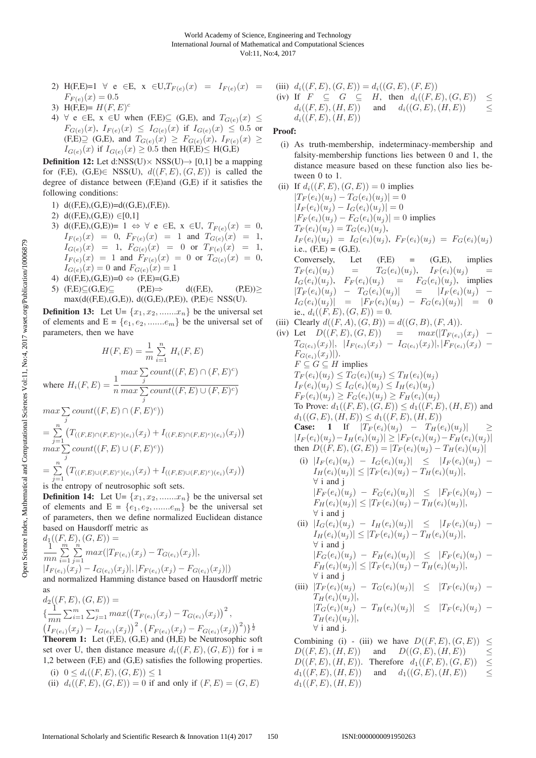- 2) H(F,E)=1  $\forall e \in E$ ,  $x \in U$ ,  $T_{F(e)}(x) = I_{F(e)}(x) =$  $F_{F(e)}(x)=0.5$
- 3) H(F,E)=  $H(F, E)^c$
- 4)  $\forall$  e  $\in$  E, x  $\in$  U when (F,E) $\subseteq$  (G,E), and  $T_{G(e)}(x) \le$  $F_{G(e)}(x), I_{F(e)}(x) \leq I_{G(e)}(x)$  if  $I_{G(e)}(x) \leq 0.5$  or  $(F,E) \supseteq (G,E)$ , and  $T_{G(e)}(x) \geq F_{G(e)}(x)$ ,  $I_{F(e)}(x) \geq$  $I_{G(e)}(x)$  if  $I_{G(e)}(x) \geq 0.5$  then  $H(F,E) \leq H(G,E)$

**Definition 12:** Let d:NSS(U) $\times$  NSS(U) $\rightarrow$  [0,1] be a mapping for (F,E), (G,E) $\in$  NSS(U),  $d((F, E), (G, E))$  is called the degree of distance between (F,E)and (G,E) if it satisfies the following conditions:

- 1) d((F,E),(G,E))=d((G,E),(F,E)).
- 2)  $d((F,E),(G,E)) \in [0,1]$
- 3) d((F,E),(G,E))= 1  $\Leftrightarrow$   $\forall$  e  $\in$ E, x  $\in$ U,  $T_{F(e)}(x)=0$ ,  $I_{F(e)}(x) = 0, F_{F(e)}(x) = 1$  and  $T_{G(e)}(x) = 1$ ,  $I_{G(e)}(x) = 1, F_{G(e)}(x) = 0 \text{ or } T_{F(e)}(x) = 1,$  $I_{F(e)}(x) = 1$  and  $F_{F(e)}(x) = 0$  or  $T_{G(e)}(x) = 0$ ,  $I_{G(e)}(x)=0$  and  $F_{G(e)}(x)=1$
- 4) d((F,E),(G,E))=0  $\Leftrightarrow$  (F,E)=(G,E)<br>5) (F,E) $\subseteq$ (G,E) $\subseteq$  (P,E) $\Rightarrow$
- 5)  $(F,E) \subseteq (G,E) \subseteq$   $(P,E) \Rightarrow$  d( $(F,E)$ ,  $(P,E) \ge$ max(d((F,E),(G,E)), d((G,E),(P,E)), (P,E)∈ NSS(U).

**Definition 13:** Let  $U = \{x_1, x_2, \dots, x_n\}$  be the universal set of elements and  $E = \{e_1, e_2, \dots, e_m\}$  be the universal set of parameters, then we have

$$
H(F, E) = \frac{1}{m} \sum_{i=1}^{n} H_i(F, E)
$$
  
\nwhere  $H_i(F, E) = \frac{1}{n} \frac{max \sum_{j} count((F, E) \cap (F, E)^c)}{max \sum_{j} count((F, E) \cup (F, E)^c)}$   
\n
$$
max \sum_{j} count((F, E) \cap (F, E)^c))
$$
  
\n
$$
= \sum_{j=1}^{n} (T_{((F, E) \cap (F, E)^c)(e_i)}(x_j) + I_{((F, E) \cap (F, E)^c)(e_i)}(x_j))
$$
  
\n
$$
max \sum_{j=1}^{n} count((F, E) \cup (F, E)^c))
$$
  
\n
$$
= \sum_{j=1}^{n} (T_{((F, E) \cup (F, E)^c)(e_i)}(x_j) + I_{((F, E) \cup (F, E)^c)(e_i)}(x_j))
$$

is the entropy of neutrosophic soft sets.

**Definition 14:** Let  $U = \{x_1, x_2, \dots, x_n\}$  be the universal set of elements and  $E = \{e_1, e_2, \dots, e_m\}$  be the universal set of parameters, then we define normalized Euclidean distance based on Hausdorff metric as

$$
d_1((F, E), (G, E)) =
$$
  
\n
$$
\frac{1}{mn} \sum_{i=1}^{m} \sum_{j=1}^{n} max(|T_{F(e_i)}(x_j) - T_{G(e_i)}(x_j)|,
$$
  
\n
$$
|I_{F(e_i)}(x_j) - I_{G(e_i)}(x_j)|, |F_{F(e_i)}(x_j) - F_{G(e_i)}(x_j)|)
$$
  
\nand normalized Hamming distance based on Hausdorff metric

as  
\n
$$
d_2((F, E), (G, E)) =
$$
\n
$$
\{\frac{1}{mn} \sum_{i=1}^{m} \sum_{j=1}^{n} max((T_{F(e_i)}(x_j) - T_{G(e_i)}(x_j))^2, (I_{F(e_i)}(x_j) - I_{G(e_i)}(x_j))^2)\}
$$
\n
$$
(I_{F(e_i)}(x_j) - I_{G(e_i)}(x_j))^2, (F_{F(e_i)}(x_j) - F_{G(e_i)}(x_j))^2)\}^{\frac{1}{2}}
$$
\n**Theorem 1:** Let (F, E), (G, E) and (H, E) be Neutrosophic soft  
\nset over U, then distance measure  $d_i((F, E), (G, E))$  for  $i =$ 

1,2 between (F,E) and (G,E) satisfies the following properties. (i)  $0 \leq d_i((F, E), (G, E)) \leq 1$ 

(ii)  $d_i((F, E), (G, E)) = 0$  if and only if  $(F, E) = (G, E)$ 

(iii) 
$$
d_i((F, E), (G, E)) = d_i((G, E), (F, E))
$$
  
\n(iv) If  $F \subseteq G \subseteq H$ , then  $d_i((F, E), (G, E)) \le$   
\n $d_i((F, E), (H, E))$  and  $d_i((G, E), (H, E)) \le$   
\n $d_i((F, E), (H, E))$ 

### Proof:

- (i) As truth-membership, indeterminacy-membership and falsity-membership functions lies between 0 and 1, the distance measure based on these function also lies between 0 to 1.
- (ii) If  $d_i((F, E), (G, E)) = 0$  implies  $|T_F(e_i)(u_j) - T_G(e_i)(u_j)| = 0$  $|I_F(e_i)(u_i) - I_G(e_i)(u_i)| = 0$  $|F_F(e_i)(u_i) - F_G(e_i)(u_i)| = 0$  implies  $T_F(e_i)(u_j) = T_G(e_i)(u_j),$  $I_F(e_i)(u_j) = I_G(e_i)(u_j), F_F(e_i)(u_j) = F_G(e_i)(u_j)$ i.e.,  $(F,E) = (G,E)$ . Conversely, Let  $(F,E)$  =  $(G,E)$ , implies  $T_F(e_i)(u_j) = T_G(e_i)(u_j), T_F(e_i)(u_j) =$  $I_G(e_i)(u_i)$ ,  $F_F(e_i)(u_i)$  =  $F_G(e_i)(u_i)$ , implies  $|T_F(e_i)(u_i) - T_G(e_i)(u_i)| = |I_F(e_i)(u_i) I_G(e_i)(u_i)$  =  $|F_F(e_i)(u_i) - F_G(e_i)(u_i)| = 0$ ie.,  $d_i((F, E), (G, E)) = 0.$ (iii) Clearly  $d((F, A), (G, B)) = d((G, B), (F, A)).$
- (iv) Let  $D((F, E), (G, E)) = \max(|T_{F(e_i)}(x_j)| T_{G(e_i)}(x_j)|, |I_{F(e_i)}(x_j) - I_{G(e_i)}(x_j)|, |F_{F(e_i)}(x_j) F_{G(e_i)}(x_j)|).$  $F \subseteq G \subseteq H$  implies  $T_F(e_i)(u_j) \leq T_G(e_i)(u_j) \leq T_H(e_i)(u_j)$  $I_F(e_i)(u_j) \leq I_G(e_i)(u_j) \leq I_H(e_i)(u_j)$  $F_F(e_i)(u_i) \geq F_G(e_i)(u_i) \geq F_H(e_i)(u_i)$ To Prove:  $d_1((F, E), (G, E)) \leq d_1((F, E), (H, E))$  and  $d_1((G, E), (H, E)) \leq d_1((F, E), (H, E))$ **Case:** 1 If  $|T_F(e_i)(u_i) - T_H(e_i)(u_i)|$  $|I_F(e_i)(u_j) - I_H(e_i)(u_j)| \geq |F_F(e_i)(u_j) - F_H(e_i)(u_j)|$ then  $D((F, E), (G, E)) = |T_F(e_i)(u_i) - T_H(e_i)(u_i)|$ (i)  $|I_F(e_i)(u_i) - I_G(e_i)(u_i)| \leq |I_F(e_i)(u_i) |I_H(e_i)(u_j)| \leq |T_F(e_i)(u_j) - T_H(e_i)(u_j)|,$ ∀ i and j  $|F_F (e_i)(u_i) - F_G (e_i)(u_i)| \leq |F_F (e_i)(u_i) F_H(e_i)(u_j)| \leq |T_F(e_i)(u_j) - T_H(e_i)(u_j)|,$ ∀ i and j (ii)  $|I_G(e_i)(u_j) - I_H(e_i)(u_j)| \leq |I_F (e_i)(u_j) |I_H(e_i)(u_j)| \leq |T_F(e_i)(u_j) - T_H(e_i)(u_j)|,$ ∀ i and j  $|F_G(e_i)(u_j) - F_H(e_i)(u_j)| \leq |F_F(e_i)(u_j) - F_H(e_j)(u_j)|$  $F_H(e_i)(u_i)| \leq |T_F(e_i)(u_i) - T_H(e_i)(u_i)|,$ ∀ i and j
	- (iii)  $|T_F(e_i)(u_j) T_G(e_i)(u_j)| \leq |T_F(e_i)(u_j) T_H(e_i)(u_j)|,$  $|T_G(e_i)(u_i) - T_H(e_i)(u_i)| \leq |T_F (e_i)(u_i) T_H(e_i)(u_j)|,$ ∀ i and j.

Combining (i) - (iii) we have  $D((F, E), (G, E)) \le D((F, E), (H, E))$  and  $D((G, E), (H, E))$  <  $D((G, E), (H, E))$ <br>
ore  $d_1((F, E), (G, E)) \leq$  $D((F, E), (H, E))$ . Therefore  $d_1((F, E), (G, E)) \le d_1((F, E), (H, E))$  and  $d_1((G, E), (H, E))$  <  $d_1((F, E), (H, E))$  $d_1((F, E), (H, E))$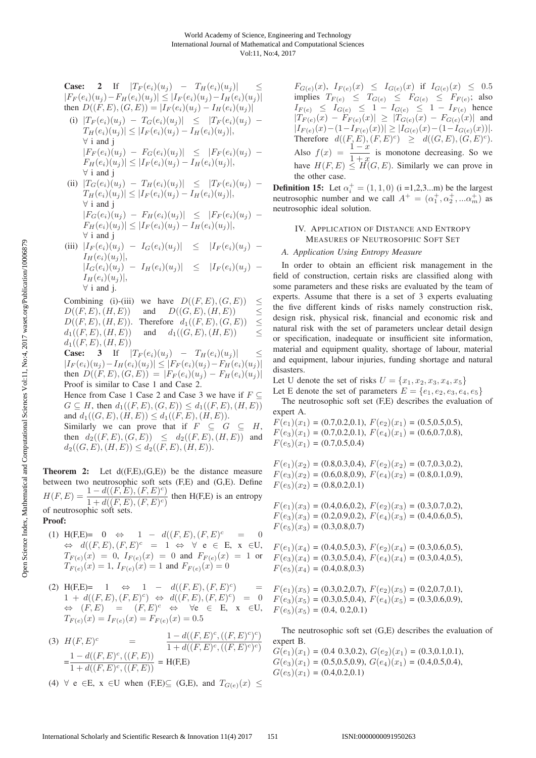Case: 2 If 
$$
|T_F(e_i)(u_j) - T_H(e_i)(u_j)| \le |F_F(e_i)(u_j) - F_H(e_i)(u_j)| \le |F_F(e_i)(u_j) - I_H(e_i)(u_j)|
$$
  
\nthen  $D((F, E), (G, E)) = |I_F(e_i)(u_j) - I_H(e_i)(u_j)|$   
\n(i)  $|T_F(e_i)(u_j) - T_G(e_i)(u_j)| \le |T_F(e_i)(u_j) - T_H(e_i)(u_j)|$   
\n $|T_H(e_i)(u_j)| \le |I_F(e_i)(u_j) - I_H(e_i)(u_j)|$ ,  
\n $|F_F(e_i)(u_j) - F_G(e_i)(u_j)| \le |F_F(e_i)(u_j) - F_H(e_i)(u_j)|$ ,  
\n $|T_G(e_i)(u_j) - T_H(e_i)(u_j)| \le |T_F(e_i)(u_j) - T_H(e_i)(u_j)|$ 

$$
\Pi) |I_G(e_i)(u_j) - I_H(e_i)(u_j)| \leq |I_F(e_i)(u_j) - I_H(e_i)(u_j)|,
$$
  
\n
$$
|\nabla H(e_i)(u_j)| \leq |I_F(e_i)(u_j) - I_H(e_i)(u_j)|,
$$
  
\n
$$
|\nabla G(e_i)(u_j) - F_H(e_i)(u_j)| \leq |F_F(e_i)(u_j) - F_H(e_i)(u_j)|,
$$
  
\n
$$
|\nabla H(e_i)(u_j)| \leq |I_F(e_i)(u_j) - I_H(e_i)(u_j)|,
$$
  
\n
$$
|\nabla H(e_i)(u_j)| \leq |I_F(e_i)(u_j) - I_H(e_i)(u_j)|,
$$

(iii) 
$$
|I_F(e_i)(u_j) - I_G(e_i)(u_j)| \leq |I_F(e_i)(u_j) - I_H(e_i)(u_j)|
$$
,  
\t $|I_G(e_i)(u_j)|$ ,  
\t $|I_G(e_i)(u_j) - I_H(e_i)(u_j)| \leq |I_F(e_i)(u_j) - I_H(e_i)(u_j)|$ ,  
\t $\forall$  i and j.

Combining (i)-(iii) we have  $D((F, E), (G, E)) \le D((F, E), (H, E))$  and  $D((G, E), (H, E)) \le$ and  $D((G, E), (H, E)) \le$ <br>Therefore  $d_1((F, E), (G, E)) \le$  $D((F, E), (H, E))$ . Therefore  $d_1((F, E), (G, E)) \leq d_1((F, E), (H, E))$  and  $d_1((G, E), (H, E))$  < and  $d_1((G, E), (H, E))$  $d_1((F, E), (H, E))$ 

**Case:** 3 If  $|T_F(e_i)(u_i) - T_H(e_i)(u_j)|$  $|I_F(e_i)(u_j) - I_H(e_i)(u_j)| \leq |F_F(e_i)(u_j) - F_H(e_i)(u_j)|$ then  $D((F, E), (G, E)) = |F_F(e_i)(u_i) - F_H(e_i)(u_j)|$ Proof is similar to Case 1 and Case 2.

Hence from Case 1 Case 2 and Case 3 we have if  $F \subseteq$  $G \subseteq H$ , then  $d_1((F, E), (G, E)) \leq d_1((F, E), (H, E))$ and  $d_1((G, E), (H, E)) \leq d_1((F, E), (H, E)).$ 

Similarly we can prove that if  $F \subseteq G \subseteq H$ , then  $d_2((F, E), (G, E)) \leq d_2((F, E), (H, E))$  and  $d_2((G, E), (H, E)) \leq d_2((F, E), (H, E)).$ 

**Theorem 2:** Let  $d(F,E),(G,E)$  be the distance measure between two neutrosophic soft sets (F,E) and (G,E). Define  $H(F, E) = \frac{1 - d((F, E), (F, E)^c)}{1 + d(F, E) + d(F, E)}$  then H(F,E) is an entropy  $H(F, E) = \frac{1 - a((F, E), (F, E))}{1 + d((F, E), (F, E)^c)}$  then H(F,E) is an entropy of neutrosophic soft sets.

## Proof:

- (1) H(F,E)= 0  $\Leftrightarrow$  1  $d((F, E), (F, E)^c = 0$  $\Leftrightarrow d((F, E), (F, E)^c = 1 \Leftrightarrow \forall e \in E, x \in U,$  $T_{F(e)}(x) = 0$ ,  $I_{F(e)}(x) = 0$  and  $F_{F(e)}(x) = 1$  or  $T_{F(e)}(x)=1, I_{F(e)}(x)=1$  and  $F_{F(e)}(x)=0$
- (2) H(F,E)= 1  $\Leftrightarrow$  1  $d((F, E), (F, E)^c)$  =  $1 + d((F, E), (F, E)^c) \Leftrightarrow d((F, E), (F, E)^c) = 0$  $\Leftrightarrow$   $(F, E) = (F, E)^c \Leftrightarrow \forall e \in E, x \in U,$  $T_{F(e)}(x) = I_{F(e)}(x) = F_{F(e)}(x) = 0.5$
- (3)  $H(F, E)^c$  =  $\frac{1 d((F, E)^c, ((F, E)^c)^c)}{1 + d((F, E)^c, ((F, E)^c)^c)}$  $=\frac{1-d((F, E)^{c}, ((F, E))}{1+d((F, E)^{c}, ((F, E))}$  = H(F,E)
- (4)  $\forall$  e ∈E, x ∈U when (F,E) $\subseteq$  (G,E), and  $T_{G(e)}(x) \leq$

 $F_{G(e)}(x),\ I_{F(e)}(x) \leq I_{G(e)}(x)$  if  $I_{G(e)}(x) \leq 0.5$ implies  $T_{F(e)} \leq T_{G(e)} \leq F_{G(e)} \leq F_{F(e)}$ ; also  $I_{F(e)} \leq I_{G(e)} \leq 1 - I_{G(e)} \leq 1 - I_{F(e)}$  hence  $|T_{F(e)}(x) - F_{F(e)}(x)| \ge |T_{G(e)}(x) - F_{G(e)}(x)|$  and  $|I_{F(e)}(x) - (1 - I_{F(e)}(x))| \geq |I_{G(e)}(x) - (1 - I_{G(e)}(x))|$ . Therefore  $d((F, E), (F, E)^c) \geq d((G, E), (G, E)^c).$ Also  $f(x) = \frac{1-x}{1+x}$  is monotone decreasing. So we have  $H(F, E) \leq H(G, E)$ . Similarly we can prove in the other case.

**Definition 15:** Let  $\alpha_i^+ = (1, 1, 0)$  (i =1,2,3...m) be the largest neutrosophic number and we call  $A^+ = (\alpha_1^+, \alpha_2^+, ... \alpha_m^+)$  as neutrosophic ideal solution.

### IV. APPLICATION OF DISTANCE AND ENTROPY MEASURES OF NEUTROSOPHIC SOFT SET

In order to obtain an efficient risk management in the field of construction, certain risks are classified along with some parameters and these risks are evaluated by the team of experts. Assume that there is a set of 3 experts evaluating the five different kinds of risks namely construction risk, design risk, physical risk, financial and economic risk and natural risk with the set of parameters unclear detail design or specification, inadequate or insufficient site information, material and equipment quality, shortage of labour, material and equipment, labour injuries, funding shortage and natural disasters.

Let U denote the set of risks  $U = \{x_1, x_2, x_3, x_4, x_5\}$ 

Let E denote the set of parameters  $E = \{e_1, e_2, e_3, e_4, e_5\}$ The neutrosophic soft set (F,E) describes the evaluation of expert A.

 $F(e_1)(x_1) = (0.7, 0.2, 0.1), F(e_2)(x_1) = (0.5, 0.5, 0.5),$  $F(e_3)(x_1) = (0.7, 0.2, 0.1), F(e_4)(x_1) = (0.6, 0.7, 0.8),$  $F(e_5)(x_1) = (0.7, 0.5, 0.4)$ 

 $F(e_1)(x_2) = (0.8, 0.3, 0.4), F(e_2)(x_2) = (0.7, 0.3, 0.2),$  $F(e_3)(x_2) = (0.6, 0.8, 0.9), F(e_4)(x_2) = (0.8, 0.1, 0.9),$  $F(e_5)(x_2) = (0.8, 0.2, 0.1)$ 

 $F(e_1)(x_3) = (0.4, 0.6, 0.2), F(e_2)(x_3) = (0.3, 0.7, 0.2),$  $F(e_3)(x_3) = (0.2, 0.9, 0.2), F(e_4)(x_3) = (0.4, 0.6, 0.5),$  $F(e_5)(x_3) = (0.3, 0.8, 0.7)$ 

- $F(e_1)(x_4) = (0.4, 0.5, 0.3), F(e_2)(x_4) = (0.3, 0.6, 0.5),$  $F(e_3)(x_4) = (0.3, 0.5, 0.4), F(e_4)(x_4) = (0.3, 0.4, 0.5),$  $F(e_5)(x_4) = (0.4, 0.8, 0.3)$
- $F(e_1)(x_5) = (0.3, 0.2, 0.7), F(e_2)(x_5) = (0.2, 0.7, 0.1),$  $F(e_3)(x_5) = (0.3, 0.5, 0.4), F(e_4)(x_5) = (0.3, 0.6, 0.9),$  $F(e_5)(x_5) = (0.4, 0.2, 0.1)$

The neutrosophic soft set (G,E) describes the evaluation of expert B.

 $G(e_1)(x_1) = (0.4 \ 0.3, 0.2), G(e_2)(x_1) = (0.3, 0.1, 0.1),$  $G(e_3)(x_1) = (0.5, 0.5, 0.9), G(e_4)(x_1) = (0.4, 0.5, 0.4),$  $G(e_5)(x_1) = (0.4, 0.2, 0.1)$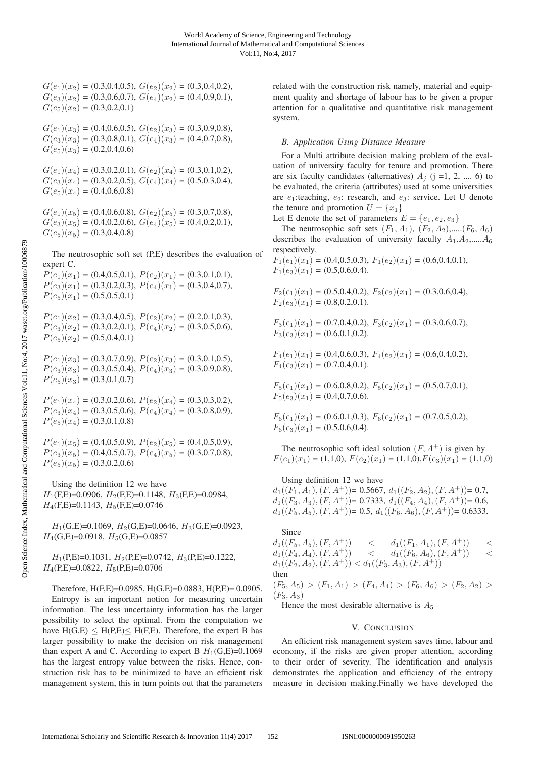$G(e_1)(x_2) = (0.3, 0.4, 0.5), G(e_2)(x_2) = (0.3, 0.4, 0.2),$  $G(e_3)(x_2) = (0.3, 0.6, 0.7), G(e_4)(x_2) = (0.4, 0.9, 0.1),$  $G(e_5)(x_2) = (0.3, 0.2, 0.1)$ 

 $G(e_1)(x_3) = (0.4, 0.6, 0.5), G(e_2)(x_3) = (0.3, 0.9, 0.8),$  $G(e_3)(x_3) = (0.3, 0.8, 0.1), G(e_4)(x_3) = (0.4, 0.7, 0.8),$  $G(e_5)(x_3) = (0.2, 0.4, 0.6)$ 

 $G(e_1)(x_4) = (0.3, 0.2, 0.1), G(e_2)(x_4) = (0.3, 0.1, 0.2),$  $G(e_3)(x_4) = (0.3, 0.2, 0.5), G(e_4)(x_4) = (0.5, 0.3, 0.4),$  $G(e_5)(x_4) = (0.4, 0.6, 0.8)$ 

 $G(e_1)(x_5) = (0.4, 0.6, 0.8), G(e_2)(x_5) = (0.3, 0.7, 0.8),$  $G(e_3)(x_5) = (0.4, 0.2, 0.6), G(e_4)(x_5) = (0.4, 0.2, 0.1),$  $G(e_5)(x_5) = (0.3, 0.4, 0.8)$ 

The neutrosophic soft set (P,E) describes the evaluation of expert C.

 $P(e_1)(x_1) = (0.4, 0.5, 0.1), P(e_2)(x_1) = (0.3, 0.1, 0.1),$  $P(e_3)(x_1) = (0.3, 0.2, 0.3), P(e_4)(x_1) = (0.3, 0.4, 0.7),$  $P(e_5)(x_1) = (0.5, 0.5, 0.1)$ 

 $P(e_1)(x_2) = (0.3, 0.4, 0.5), P(e_2)(x_2) = (0.2, 0.1, 0.3),$  $P(e_3)(x_2) = (0.3, 0.2, 0.1), P(e_4)(x_2) = (0.3, 0.5, 0.6),$  $P(e_5)(x_2) = (0.5, 0.4, 0.1)$ 

 $P(e_1)(x_3) = (0.3, 0.7, 0.9), P(e_2)(x_3) = (0.3, 0.1, 0.5),$  $P(e_3)(x_3) = (0.3, 0.5, 0.4), P(e_4)(x_3) = (0.3, 0.9, 0.8),$  $P(e_5)(x_3) = (0.3, 0.1, 0.7)$ 

 $P(e_1)(x_4) = (0.3, 0.2, 0.6), P(e_2)(x_4) = (0.3, 0.3, 0.2),$  $P(e_3)(x_4) = (0.3, 0.5, 0.6), P(e_4)(x_4) = (0.3, 0.8, 0.9),$  $P(e_5)(x_4) = (0.3, 0.1, 0.8)$ 

 $P(e_1)(x_5) = (0.4, 0.5, 0.9), P(e_2)(x_5) = (0.4, 0.5, 0.9),$  $P(e_3)(x_5) = (0.4, 0.5, 0.7), P(e_4)(x_5) = (0.3, 0.7, 0.8),$  $P(e_5)(x_5) = (0.3, 0.2, 0.6)$ 

Using the definition 12 we have  $H_1$ (F,E)=0.0906,  $H_2$ (F,E)=0.1148,  $H_3$ (F,E)=0.0984,  $H_4$ (F,E)=0.1143,  $H_5$ (F,E)=0.0746

 $H_1(G,E)=0.1069$ ,  $H_2(G,E)=0.0646$ ,  $H_3(G,E)=0.0923$ ,  $H_4(G, E)=0.0918$ ,  $H_5(G, E)=0.0857$ 

 $H_1(P,E)=0.1031$ ,  $H_2(P,E)=0.0742$ ,  $H_3(P,E)=0.1222$ ,  $H_4$ (P,E)=0.0822,  $H_5$ (P,E)=0.0706

Therefore,  $H(F,E)=0.0985$ ,  $H(G,E)=0.0883$ ,  $H(P,E)=0.0905$ . Entropy is an important notion for measuring uncertain information. The less uncertainty information has the larger possibility to select the optimal. From the computation we have  $H(G,E) \leq H(P,E) \leq H(F,E)$ . Therefore, the expert B has larger possibility to make the decision on risk management than expert A and C. According to expert B  $H_1(G,E)=0.1069$ has the largest entropy value between the risks. Hence, construction risk has to be minimized to have an efficient risk management system, this in turn points out that the parameters related with the construction risk namely, material and equipment quality and shortage of labour has to be given a proper attention for a qualitative and quantitative risk management system.

*B. Application Using Distance Measure* For a Multi attribute decision making problem of the evaluation of university faculty for tenure and promotion. There are six faculty candidates (alternatives)  $A_i$  (j =1, 2, ..., 6) to be evaluated, the criteria (attributes) used at some universities are  $e_1$ :teaching,  $e_2$ : research, and  $e_3$ : service. Let U denote the tenure and promotion  $U = \{x_1\}$ 

Let E denote the set of parameters  $E = \{e_1, e_2, e_3\}$ 

The neutrosophic soft sets  $(F_1, A_1)$ ,  $(F_2, A_2)$ ,..... $(F_6, A_6)$ describes the evaluation of university faculty  $A_1.A_2, \ldots . A_6$ respectively.

 $F_1(e_1)(x_1) = (0.4, 0.5, 0.3), F_1(e_2)(x_1) = (0.6, 0.4, 0.1),$  $F_1(e_3)(x_1) = (0.5, 0.6, 0.4).$ 

$$
F_2(e_1)(x_1) = (0.5, 0.4, 0.2), F_2(e_2)(x_1) = (0.3, 0.6, 0.4),
$$
  
\n
$$
F_2(e_3)(x_1) = (0.8, 0.2, 0.1).
$$

 $F_3(e_1)(x_1) = (0.7, 0.4, 0.2), F_3(e_2)(x_1) = (0.3, 0.6, 0.7),$  $F_3(e_3)(x_1) = (0.6, 0.1, 0.2).$ 

 $F_4(e_1)(x_1) = (0.4, 0.6, 0.3), F_4(e_2)(x_1) = (0.6, 0.4, 0.2),$  $F_4(e_3)(x_1) = (0.7, 0.4, 0.1).$ 

 $F_5(e_1)(x_1) = (0.6, 0.8, 0.2), F_5(e_2)(x_1) = (0.5, 0.7, 0.1),$  $F_5(e_3)(x_1) = (0.4, 0.7, 0.6).$ 

$$
F_6(e_1)(x_1) = (0.6, 0.1, 0.3), F_6(e_2)(x_1) = (0.7, 0.5, 0.2),
$$
  

$$
F_6(e_3)(x_1) = (0.5, 0.6, 0.4).
$$

The neutrosophic soft ideal solution  $(F, A^+)$  is given by  $F(e_1)(x_1) = (1,1,0), F(e_2)(x_1) = (1,1,0), F(e_3)(x_1) = (1,1,0)$ 

Using definition 12 we have

 $d_1((F_1, A_1), (F, A^+))$ = 0.5667,  $d_1((F_2, A_2), (F, A^+))$ = 0.7,  $d_1((F_3, A_3), (F, A^+))$ = 0.7333,  $d_1((F_4, A_4), (F, A^+))$ = 0.6,  $d_1((F_5, A_5), (F, A^+))$ = 0.5,  $d_1((F_6, A_6), (F, A^+))$ = 0.6333.

Since  $d_1((F_5, A_5), (F, A^+))$  <  $d_1((F_1, A_1), (F, A^+))$  <  $d_1((F_4, A_4), (F, A^+))$  <  $d_1((F_6, A_6), (F, A^+))$  <  $d_1((F_2, A_2), (F, A^+)) < d_1((F_3, A_3), (F, A^+))$ then  $(F_5, A_5) > (F_1, A_1) > (F_4, A_4) > (F_6, A_6) > (F_2, A_2) >$  $(F_3, A_3)$ 

Hence the most desirable alternative is  $A_5$ 

#### V. CONCLUSION

An efficient risk management system saves time, labour and economy, if the risks are given proper attention, according to their order of severity. The identification and analysis demonstrates the application and efficiency of the entropy measure in decision making.Finally we have developed the